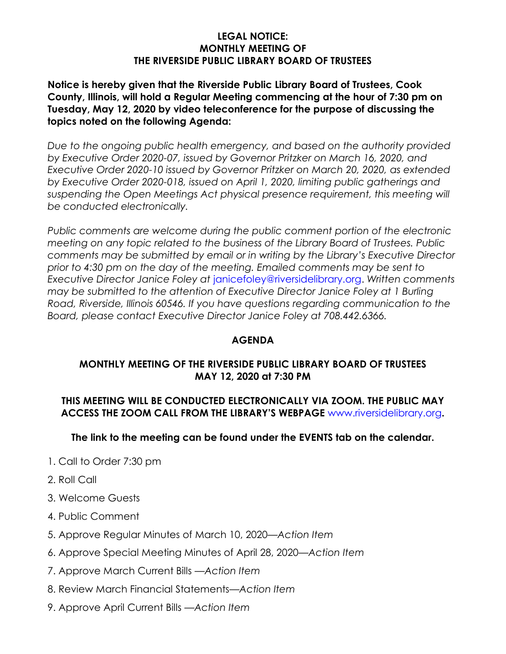## **LEGAL NOTICE: MONTHLY MEETING OF THE RIVERSIDE PUBLIC LIBRARY BOARD OF TRUSTEES**

# **Notice is hereby given that the Riverside Public Library Board of Trustees, Cook County, Illinois, will hold a Regular Meeting commencing at the hour of 7:30 pm on Tuesday, May 12, 2020 by video teleconference for the purpose of discussing the topics noted on the following Agenda:**

*Due to the ongoing public health emergency, and based on the authority provided by Executive Order 2020-07, issued by Governor Pritzker on March 16, 2020, and Executive Order 2020-10 issued by Governor Pritzker on March 20, 2020, as extended by Executive Order 2020-018, issued on April 1, 2020, limiting public gatherings and* suspending the Open Meetings Act physical presence requirement, this meeting will *be conducted electronically.*

*Public comments are welcome during the public comment portion of the electronic meeting on any topic related to the business of the Library Board of Trustees. Public comments may be submitted by email or in writing by the Library's Executive Director prior to 4:30 pm on the day of the meeting. Emailed comments may be sent to Executive Director Janice Foley at* janicefoley@riversidelibrary.org. *Written comments may be submitted to the attention of Executive Director Janice Foley at 1 Burling Road, Riverside, Illinois 60546. If you have questions regarding communication to the Board, please contact Executive Director Janice Foley at 708.442.6366.*

# **AGENDA**

# **MONTHLY MEETING OF THE RIVERSIDE PUBLIC LIBRARY BOARD OF TRUSTEES MAY 12, 2020 at 7:30 PM**

# **THIS MEETING WILL BE CONDUCTED ELECTRONICALLY VIA ZOOM. THE PUBLIC MAY ACCESS THE ZOOM CALL FROM THE LIBRARY'S WEBPAGE** www.riversidelibrary.org**.**

# **The link to the meeting can be found under the EVENTS tab on the calendar.**

- 1. Call to Order 7:30 pm
- 2. Roll Call
- 3. Welcome Guests
- 4. Public Comment
- 5. Approve Regular Minutes of March 10, 2020*—Action Item*
- 6. Approve Special Meeting Minutes of April 28, 2020—*Action Item*
- 7. Approve March Current Bills —*Action Item*
- 8. Review March Financial Statements—*Action Item*
- 9. Approve April Current Bills —*Action Item*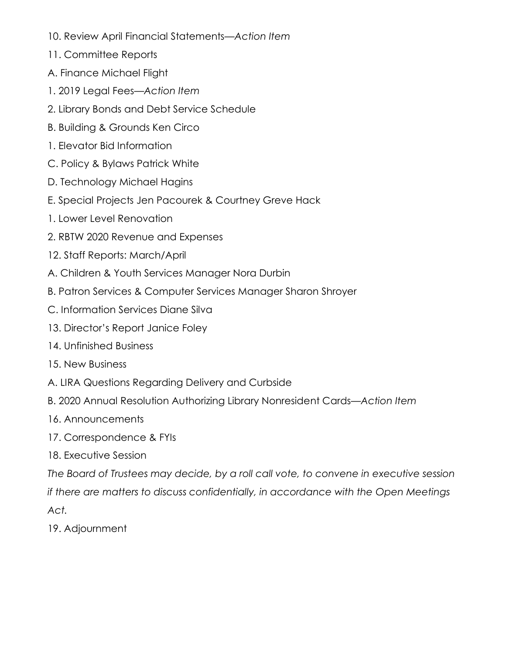- 10. Review April Financial Statements—*Action Item*
- 11. Committee Reports
- A. Finance Michael Flight
- 1. 2019 Legal Fees*—Action Item*
- 2. Library Bonds and Debt Service Schedule
- B. Building & Grounds Ken Circo
- 1. Elevator Bid Information
- C. Policy & Bylaws Patrick White
- D. Technology Michael Hagins
- E. Special Projects Jen Pacourek & Courtney Greve Hack
- 1. Lower Level Renovation
- 2. RBTW 2020 Revenue and Expenses
- 12. Staff Reports: March/April
- A. Children & Youth Services Manager Nora Durbin
- B. Patron Services & Computer Services Manager Sharon Shroyer
- C. Information Services Diane Silva
- 13. Director's Report Janice Foley
- 14. Unfinished Business
- 15. New Business
- A. LIRA Questions Regarding Delivery and Curbside
- B. 2020 Annual Resolution Authorizing Library Nonresident Cards—*Action Item*
- 16. Announcements
- 17. Correspondence & FYIs
- 18. Executive Session

*The Board of Trustees may decide, by a roll call vote, to convene in executive session if there are matters to discuss confidentially, in accordance with the Open Meetings Act.*

19. Adjournment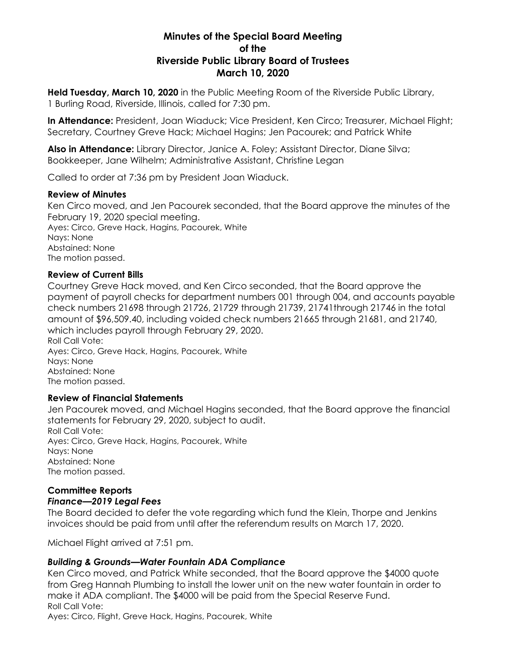## **Minutes of the Special Board Meeting of the Riverside Public Library Board of Trustees March 10, 2020**

**Held Tuesday, March 10, 2020** in the Public Meeting Room of the Riverside Public Library, 1 Burling Road, Riverside, Illinois, called for 7:30 pm.

**In Attendance:** President, Joan Wiaduck; Vice President, Ken Circo; Treasurer, Michael Flight; Secretary, Courtney Greve Hack; Michael Hagins; Jen Pacourek; and Patrick White

**Also in Attendance:** Library Director, Janice A. Foley; Assistant Director, Diane Silva; Bookkeeper, Jane Wilhelm; Administrative Assistant, Christine Legan

Called to order at 7:36 pm by President Joan Wiaduck.

#### **Review of Minutes**

Ken Circo moved, and Jen Pacourek seconded, that the Board approve the minutes of the February 19, 2020 special meeting. Ayes: Circo, Greve Hack, Hagins, Pacourek, White

Nays: None Abstained: None The motion passed.

## **Review of Current Bills**

Courtney Greve Hack moved, and Ken Circo seconded, that the Board approve the payment of payroll checks for department numbers 001 through 004, and accounts payable check numbers 21698 through 21726, 21729 through 21739, 21741through 21746 in the total amount of \$96,509.40, including voided check numbers 21665 through 21681, and 21740, which includes payroll through February 29, 2020. Roll Call Vote:

Ayes: Circo, Greve Hack, Hagins, Pacourek, White Nays: None Abstained: None The motion passed.

## **Review of Financial Statements**

Jen Pacourek moved, and Michael Hagins seconded, that the Board approve the financial statements for February 29, 2020, subject to audit. Roll Call Vote: Ayes: Circo, Greve Hack, Hagins, Pacourek, White Nays: None Abstained: None The motion passed.

# **Committee Reports**

# *Finance—2019 Legal Fees*

The Board decided to defer the vote regarding which fund the Klein, Thorpe and Jenkins invoices should be paid from until after the referendum results on March 17, 2020.

Michael Flight arrived at 7:51 pm.

## *Building & Grounds—Water Fountain ADA Compliance*

Ken Circo moved, and Patrick White seconded, that the Board approve the \$4000 quote from Greg Hannah Plumbing to install the lower unit on the new water fountain in order to make it ADA compliant. The \$4000 will be paid from the Special Reserve Fund. Roll Call Vote:

Ayes: Circo, Flight, Greve Hack, Hagins, Pacourek, White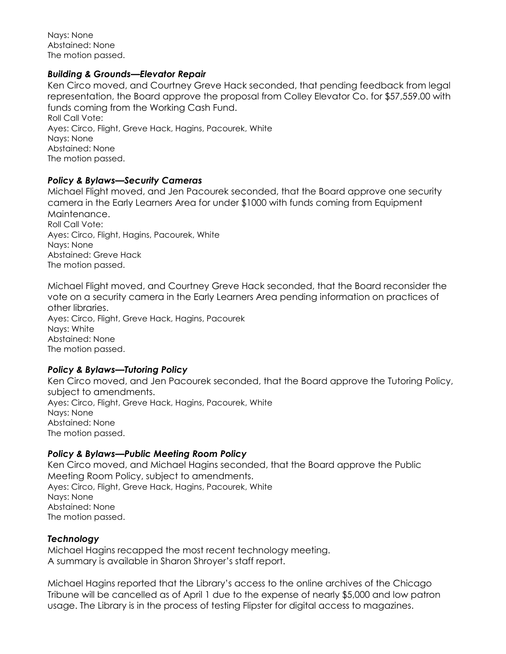Nays: None Abstained: None The motion passed.

#### *Building & Grounds—Elevator Repair*

Ken Circo moved, and Courtney Greve Hack seconded, that pending feedback from legal representation, the Board approve the proposal from Colley Elevator Co. for \$57,559.00 with funds coming from the Working Cash Fund. Roll Call Vote: Ayes: Circo, Flight, Greve Hack, Hagins, Pacourek, White Nays: None Abstained: None The motion passed.

#### *Policy & Bylaws—Security Cameras*

Michael Flight moved, and Jen Pacourek seconded, that the Board approve one security camera in the Early Learners Area for under \$1000 with funds coming from Equipment Maintenance. Roll Call Vote: Ayes: Circo, Flight, Hagins, Pacourek, White Nays: None Abstained: Greve Hack The motion passed.

Michael Flight moved, and Courtney Greve Hack seconded, that the Board reconsider the vote on a security camera in the Early Learners Area pending information on practices of other libraries. Ayes: Circo, Flight, Greve Hack, Hagins, Pacourek Nays: White Abstained: None The motion passed.

## *Policy & Bylaws—Tutoring Policy*

Ken Circo moved, and Jen Pacourek seconded, that the Board approve the Tutoring Policy, subject to amendments. Ayes: Circo, Flight, Greve Hack, Hagins, Pacourek, White Nays: None Abstained: None The motion passed.

## *Policy & Bylaws—Public Meeting Room Policy*

Ken Circo moved, and Michael Hagins seconded, that the Board approve the Public Meeting Room Policy, subject to amendments. Ayes: Circo, Flight, Greve Hack, Hagins, Pacourek, White Nays: None Abstained: None The motion passed.

## *Technology*

Michael Hagins recapped the most recent technology meeting. A summary is available in Sharon Shroyer's staff report.

Michael Hagins reported that the Library's access to the online archives of the Chicago Tribune will be cancelled as of April 1 due to the expense of nearly \$5,000 and low patron usage. The Library is in the process of testing Flipster for digital access to magazines.